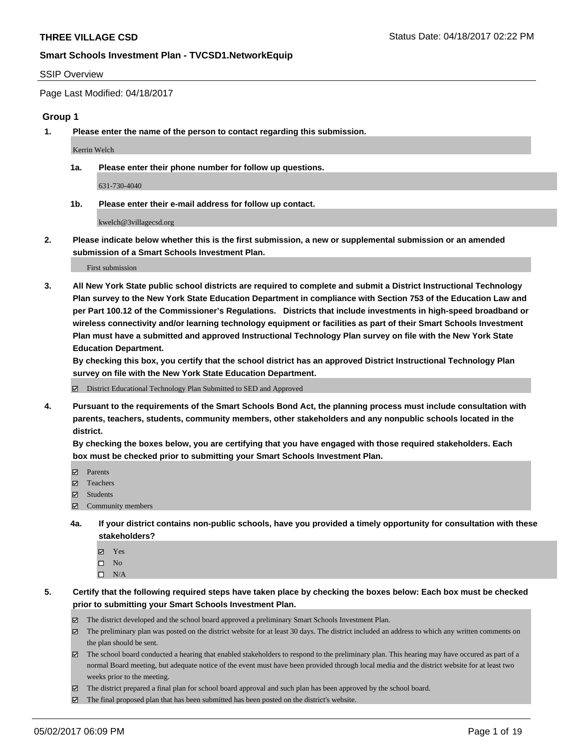#### SSIP Overview

Page Last Modified: 04/18/2017

#### **Group 1**

**1. Please enter the name of the person to contact regarding this submission.**

Kerrin Welch

**1a. Please enter their phone number for follow up questions.**

631-730-4040

**1b. Please enter their e-mail address for follow up contact.**

kwelch@3villagecsd.org

**2. Please indicate below whether this is the first submission, a new or supplemental submission or an amended submission of a Smart Schools Investment Plan.**

First submission

**3. All New York State public school districts are required to complete and submit a District Instructional Technology Plan survey to the New York State Education Department in compliance with Section 753 of the Education Law and per Part 100.12 of the Commissioner's Regulations. Districts that include investments in high-speed broadband or wireless connectivity and/or learning technology equipment or facilities as part of their Smart Schools Investment Plan must have a submitted and approved Instructional Technology Plan survey on file with the New York State Education Department.** 

**By checking this box, you certify that the school district has an approved District Instructional Technology Plan survey on file with the New York State Education Department.**

District Educational Technology Plan Submitted to SED and Approved

**4. Pursuant to the requirements of the Smart Schools Bond Act, the planning process must include consultation with parents, teachers, students, community members, other stakeholders and any nonpublic schools located in the district.** 

**By checking the boxes below, you are certifying that you have engaged with those required stakeholders. Each box must be checked prior to submitting your Smart Schools Investment Plan.**

- **マ** Parents
- □ Teachers
- Students
- $\Xi$  Community members
- **4a. If your district contains non-public schools, have you provided a timely opportunity for consultation with these stakeholders?**
	- Yes
	- $\hfill \square$  No
	- $\square$  N/A
- **5. Certify that the following required steps have taken place by checking the boxes below: Each box must be checked prior to submitting your Smart Schools Investment Plan.**
	- The district developed and the school board approved a preliminary Smart Schools Investment Plan.
	- $\boxtimes$  The preliminary plan was posted on the district website for at least 30 days. The district included an address to which any written comments on the plan should be sent.
	- $\boxtimes$  The school board conducted a hearing that enabled stakeholders to respond to the preliminary plan. This hearing may have occured as part of a normal Board meeting, but adequate notice of the event must have been provided through local media and the district website for at least two weeks prior to the meeting.
	- The district prepared a final plan for school board approval and such plan has been approved by the school board.
	- $\boxtimes$  The final proposed plan that has been submitted has been posted on the district's website.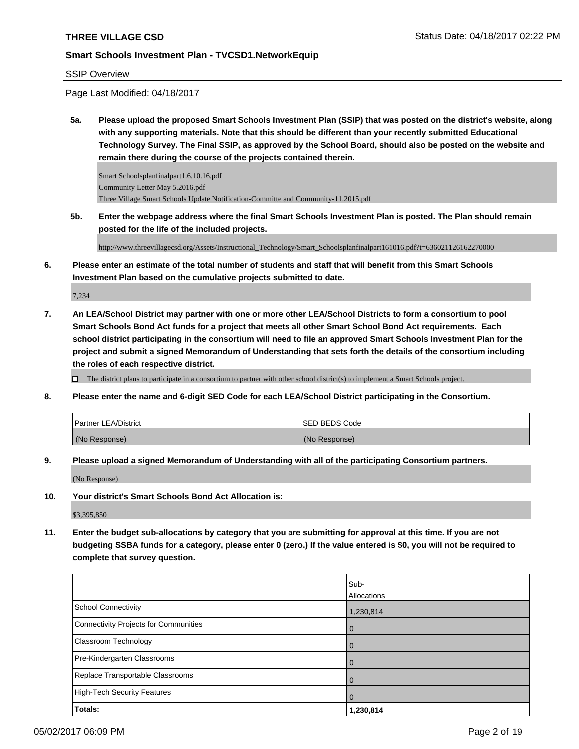#### SSIP Overview

Page Last Modified: 04/18/2017

**5a. Please upload the proposed Smart Schools Investment Plan (SSIP) that was posted on the district's website, along with any supporting materials. Note that this should be different than your recently submitted Educational Technology Survey. The Final SSIP, as approved by the School Board, should also be posted on the website and remain there during the course of the projects contained therein.**

Smart Schoolsplanfinalpart1.6.10.16.pdf Community Letter May 5.2016.pdf Three Village Smart Schools Update Notification-Committe and Community-11.2015.pdf

**5b. Enter the webpage address where the final Smart Schools Investment Plan is posted. The Plan should remain posted for the life of the included projects.**

http://www.threevillagecsd.org/Assets/Instructional\_Technology/Smart\_Schoolsplanfinalpart161016.pdf?t=636021126162270000

**6. Please enter an estimate of the total number of students and staff that will benefit from this Smart Schools Investment Plan based on the cumulative projects submitted to date.**

7,234

**7. An LEA/School District may partner with one or more other LEA/School Districts to form a consortium to pool Smart Schools Bond Act funds for a project that meets all other Smart School Bond Act requirements. Each school district participating in the consortium will need to file an approved Smart Schools Investment Plan for the project and submit a signed Memorandum of Understanding that sets forth the details of the consortium including the roles of each respective district.**

 $\Box$  The district plans to participate in a consortium to partner with other school district(s) to implement a Smart Schools project.

**8. Please enter the name and 6-digit SED Code for each LEA/School District participating in the Consortium.**

| <b>Partner LEA/District</b> | ISED BEDS Code |
|-----------------------------|----------------|
| (No Response)               | (No Response)  |

**9. Please upload a signed Memorandum of Understanding with all of the participating Consortium partners.**

(No Response)

**10. Your district's Smart Schools Bond Act Allocation is:**

\$3,395,850

**11. Enter the budget sub-allocations by category that you are submitting for approval at this time. If you are not budgeting SSBA funds for a category, please enter 0 (zero.) If the value entered is \$0, you will not be required to complete that survey question.**

|                                              | Sub-        |
|----------------------------------------------|-------------|
|                                              | Allocations |
| <b>School Connectivity</b>                   | 1,230,814   |
| <b>Connectivity Projects for Communities</b> | 0           |
| Classroom Technology                         |             |
| Pre-Kindergarten Classrooms                  | O           |
| Replace Transportable Classrooms             |             |
| <b>High-Tech Security Features</b>           | 0           |
| Totals:                                      | 1,230,814   |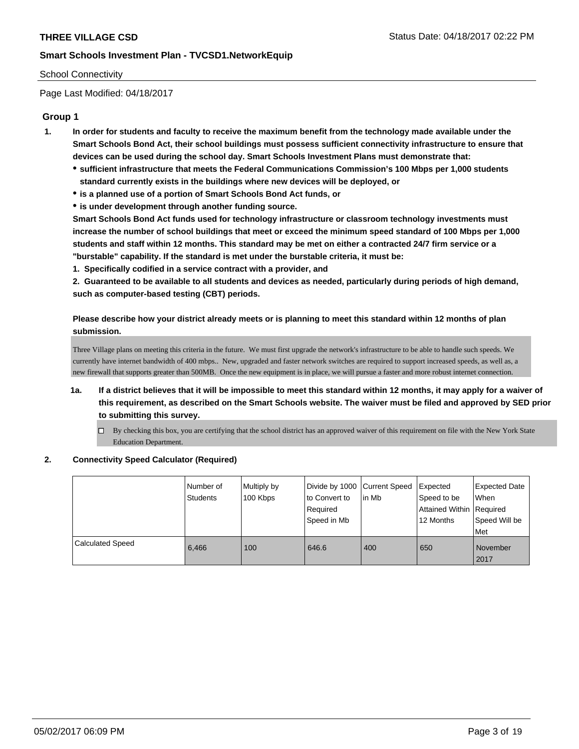### School Connectivity

Page Last Modified: 04/18/2017

## **Group 1**

- **1. In order for students and faculty to receive the maximum benefit from the technology made available under the Smart Schools Bond Act, their school buildings must possess sufficient connectivity infrastructure to ensure that devices can be used during the school day. Smart Schools Investment Plans must demonstrate that:**
	- **sufficient infrastructure that meets the Federal Communications Commission's 100 Mbps per 1,000 students standard currently exists in the buildings where new devices will be deployed, or**
	- **is a planned use of a portion of Smart Schools Bond Act funds, or**
	- **is under development through another funding source.**

**Smart Schools Bond Act funds used for technology infrastructure or classroom technology investments must increase the number of school buildings that meet or exceed the minimum speed standard of 100 Mbps per 1,000 students and staff within 12 months. This standard may be met on either a contracted 24/7 firm service or a "burstable" capability. If the standard is met under the burstable criteria, it must be:**

**1. Specifically codified in a service contract with a provider, and**

**2. Guaranteed to be available to all students and devices as needed, particularly during periods of high demand, such as computer-based testing (CBT) periods.**

**Please describe how your district already meets or is planning to meet this standard within 12 months of plan submission.**

Three Village plans on meeting this criteria in the future. We must first upgrade the network's infrastructure to be able to handle such speeds. We currently have internet bandwidth of 400 mbps.. New, upgraded and faster network switches are required to support increased speeds, as well as, a new firewall that supports greater than 500MB. Once the new equipment is in place, we will pursue a faster and more robust internet connection.

- **1a. If a district believes that it will be impossible to meet this standard within 12 months, it may apply for a waiver of this requirement, as described on the Smart Schools website. The waiver must be filed and approved by SED prior to submitting this survey.**
	- By checking this box, you are certifying that the school district has an approved waiver of this requirement on file with the New York State Education Department.

#### **2. Connectivity Speed Calculator (Required)**

|                         | Number of<br><b>Students</b> | Multiply by<br>100 Kbps | Divide by 1000 Current Speed<br>to Convert to<br>Required<br>l Speed in Mb | lin Mb | Expected<br>Speed to be<br>Attained Within Required<br>12 Months | <b>Expected Date</b><br>When<br>Speed Will be<br><b>Met</b> |
|-------------------------|------------------------------|-------------------------|----------------------------------------------------------------------------|--------|------------------------------------------------------------------|-------------------------------------------------------------|
| <b>Calculated Speed</b> | 6.466                        | 100                     | 646.6                                                                      | 400    | 650                                                              | November<br>2017                                            |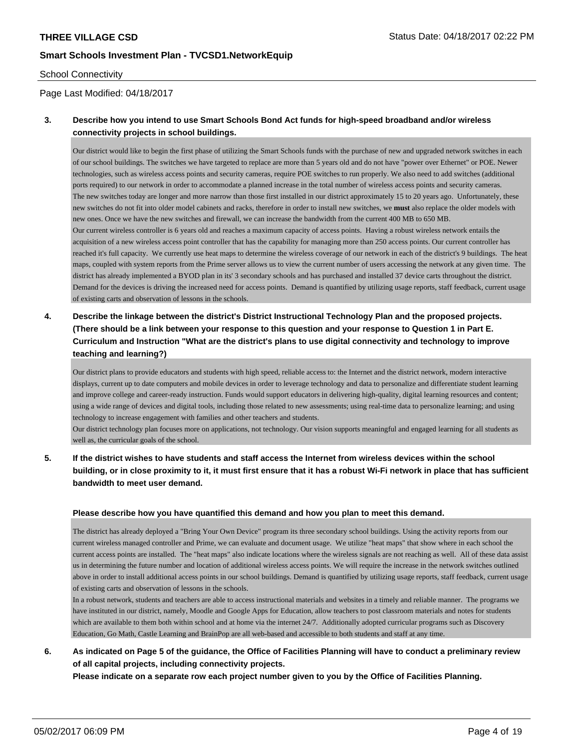#### School Connectivity

### Page Last Modified: 04/18/2017

## **3. Describe how you intend to use Smart Schools Bond Act funds for high-speed broadband and/or wireless connectivity projects in school buildings.**

Our district would like to begin the first phase of utilizing the Smart Schools funds with the purchase of new and upgraded network switches in each of our school buildings. The switches we have targeted to replace are more than 5 years old and do not have "power over Ethernet" or POE. Newer technologies, such as wireless access points and security cameras, require POE switches to run properly. We also need to add switches (additional ports required) to our network in order to accommodate a planned increase in the total number of wireless access points and security cameras. The new switches today are longer and more narrow than those first installed in our district approximately 15 to 20 years ago. Unfortunately, these new switches do not fit into older model cabinets and racks, therefore in order to install new switches, we **must** also replace the older models with new ones. Once we have the new switches and firewall, we can increase the bandwidth from the current 400 MB to 650 MB. Our current wireless controller is 6 years old and reaches a maximum capacity of access points. Having a robust wireless network entails the acquisition of a new wireless access point controller that has the capability for managing more than 250 access points. Our current controller has reached it's full capacity. We currently use heat maps to determine the wireless coverage of our network in each of the district's 9 buildings. The heat maps, coupled with system reports from the Prime server allows us to view the current number of users accessing the network at any given time. The district has already implemented a BYOD plan in its' 3 secondary schools and has purchased and installed 37 device carts throughout the district. Demand for the devices is driving the increased need for access points. Demand is quantified by utilizing usage reports, staff feedback, current usage of existing carts and observation of lessons in the schools.

# **4. Describe the linkage between the district's District Instructional Technology Plan and the proposed projects. (There should be a link between your response to this question and your response to Question 1 in Part E. Curriculum and Instruction "What are the district's plans to use digital connectivity and technology to improve teaching and learning?)**

Our district plans to provide educators and students with high speed, reliable access to: the Internet and the district network, modern interactive displays, current up to date computers and mobile devices in order to leverage technology and data to personalize and differentiate student learning and improve college and career-ready instruction. Funds would support educators in delivering high-quality, digital learning resources and content; using a wide range of devices and digital tools, including those related to new assessments; using real-time data to personalize learning; and using technology to increase engagement with families and other teachers and students.

Our district technology plan focuses more on applications, not technology. Our vision supports meaningful and engaged learning for all students as well as, the curricular goals of the school.

## **5. If the district wishes to have students and staff access the Internet from wireless devices within the school building, or in close proximity to it, it must first ensure that it has a robust Wi-Fi network in place that has sufficient bandwidth to meet user demand.**

#### **Please describe how you have quantified this demand and how you plan to meet this demand.**

The district has already deployed a "Bring Your Own Device" program its three secondary school buildings. Using the activity reports from our current wireless managed controller and Prime, we can evaluate and document usage. We utilize "heat maps" that show where in each school the current access points are installed. The "heat maps" also indicate locations where the wireless signals are not reaching as well. All of these data assist us in determining the future number and location of additional wireless access points. We will require the increase in the network switches outlined above in order to install additional access points in our school buildings. Demand is quantified by utilizing usage reports, staff feedback, current usage of existing carts and observation of lessons in the schools.

In a robust network, students and teachers are able to access instructional materials and websites in a timely and reliable manner. The programs we have instituted in our district, namely, Moodle and Google Apps for Education, allow teachers to post classroom materials and notes for students which are available to them both within school and at home via the internet 24/7. Additionally adopted curricular programs such as Discovery Education, Go Math, Castle Learning and BrainPop are all web-based and accessible to both students and staff at any time.

## **6. As indicated on Page 5 of the guidance, the Office of Facilities Planning will have to conduct a preliminary review of all capital projects, including connectivity projects.**

**Please indicate on a separate row each project number given to you by the Office of Facilities Planning.**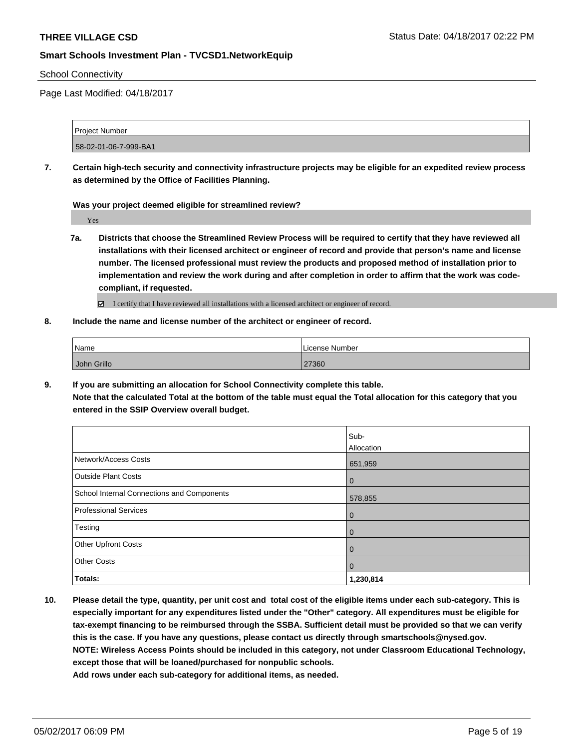#### School Connectivity

Page Last Modified: 04/18/2017

| Project Number        |  |
|-----------------------|--|
|                       |  |
| 58-02-01-06-7-999-BA1 |  |

**7. Certain high-tech security and connectivity infrastructure projects may be eligible for an expedited review process as determined by the Office of Facilities Planning.**

**Was your project deemed eligible for streamlined review?**

Yes

**7a. Districts that choose the Streamlined Review Process will be required to certify that they have reviewed all installations with their licensed architect or engineer of record and provide that person's name and license number. The licensed professional must review the products and proposed method of installation prior to implementation and review the work during and after completion in order to affirm that the work was codecompliant, if requested.**

■ I certify that I have reviewed all installations with a licensed architect or engineer of record.

**8. Include the name and license number of the architect or engineer of record.**

| Name        | License Number |
|-------------|----------------|
| John Grillo | 27360          |

**9. If you are submitting an allocation for School Connectivity complete this table.**

**Note that the calculated Total at the bottom of the table must equal the Total allocation for this category that you entered in the SSIP Overview overall budget.** 

|                                            | Sub-<br>Allocation |
|--------------------------------------------|--------------------|
| Network/Access Costs                       | 651,959            |
| <b>Outside Plant Costs</b>                 | $\overline{0}$     |
| School Internal Connections and Components | 578,855            |
| <b>Professional Services</b>               | $\mathbf 0$        |
| Testing                                    | $\mathbf 0$        |
| <b>Other Upfront Costs</b>                 | $\mathbf 0$        |
| <b>Other Costs</b>                         | $\mathbf 0$        |
| Totals:                                    | 1,230,814          |

**10. Please detail the type, quantity, per unit cost and total cost of the eligible items under each sub-category. This is especially important for any expenditures listed under the "Other" category. All expenditures must be eligible for tax-exempt financing to be reimbursed through the SSBA. Sufficient detail must be provided so that we can verify this is the case. If you have any questions, please contact us directly through smartschools@nysed.gov. NOTE: Wireless Access Points should be included in this category, not under Classroom Educational Technology, except those that will be loaned/purchased for nonpublic schools.**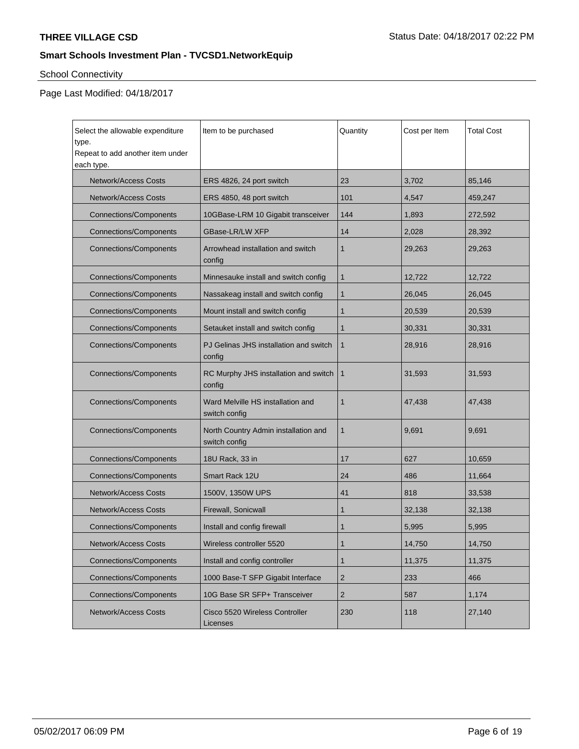# School Connectivity

| Select the allowable expenditure<br>type.<br>Repeat to add another item under<br>each type. | Item to be purchased                                  | Quantity       | Cost per Item | <b>Total Cost</b> |
|---------------------------------------------------------------------------------------------|-------------------------------------------------------|----------------|---------------|-------------------|
| <b>Network/Access Costs</b>                                                                 | ERS 4826, 24 port switch                              | 23             | 3,702         | 85,146            |
| <b>Network/Access Costs</b>                                                                 | ERS 4850, 48 port switch                              | 101            | 4,547         | 459,247           |
| <b>Connections/Components</b>                                                               | 10GBase-LRM 10 Gigabit transceiver                    | 144            | 1,893         | 272,592           |
| <b>Connections/Components</b>                                                               | GBase-LR/LW XFP                                       | 14             | 2,028         | 28,392            |
| <b>Connections/Components</b>                                                               | Arrowhead installation and switch<br>config           | 1              | 29,263        | 29,263            |
| <b>Connections/Components</b>                                                               | Minnesauke install and switch config                  | 1              | 12,722        | 12,722            |
| <b>Connections/Components</b>                                                               | Nassakeag install and switch config                   | 1              | 26,045        | 26,045            |
| <b>Connections/Components</b>                                                               | Mount install and switch config                       | 1              | 20,539        | 20,539            |
| <b>Connections/Components</b>                                                               | Setauket install and switch config                    | 1              | 30,331        | 30,331            |
| <b>Connections/Components</b>                                                               | PJ Gelinas JHS installation and switch<br>config      | $\mathbf{1}$   | 28,916        | 28,916            |
| <b>Connections/Components</b>                                                               | RC Murphy JHS installation and switch<br>config       | $\mathbf{1}$   | 31,593        | 31,593            |
| <b>Connections/Components</b>                                                               | Ward Melville HS installation and<br>switch config    | $\mathbf{1}$   | 47,438        | 47,438            |
| <b>Connections/Components</b>                                                               | North Country Admin installation and<br>switch config | $\mathbf{1}$   | 9,691         | 9,691             |
| <b>Connections/Components</b>                                                               | 18U Rack, 33 in                                       | 17             | 627           | 10,659            |
| <b>Connections/Components</b>                                                               | Smart Rack 12U                                        | 24             | 486           | 11,664            |
| <b>Network/Access Costs</b>                                                                 | 1500V, 1350W UPS                                      | 41             | 818           | 33,538            |
| <b>Network/Access Costs</b>                                                                 | Firewall, Sonicwall                                   | 1              | 32,138        | 32,138            |
| <b>Connections/Components</b>                                                               | Install and config firewall                           | 1              | 5,995         | 5,995             |
| Network/Access Costs                                                                        | Wireless controller 5520                              | $\mathbf 1$    | 14,750        | 14,750            |
| <b>Connections/Components</b>                                                               | Install and config controller                         | 1              | 11,375        | 11,375            |
| <b>Connections/Components</b>                                                               | 1000 Base-T SFP Gigabit Interface                     | $\overline{2}$ | 233           | 466               |
| <b>Connections/Components</b>                                                               | 10G Base SR SFP+ Transceiver                          | $\overline{2}$ | 587           | 1,174             |
| <b>Network/Access Costs</b>                                                                 | Cisco 5520 Wireless Controller<br>Licenses            | 230            | 118           | 27,140            |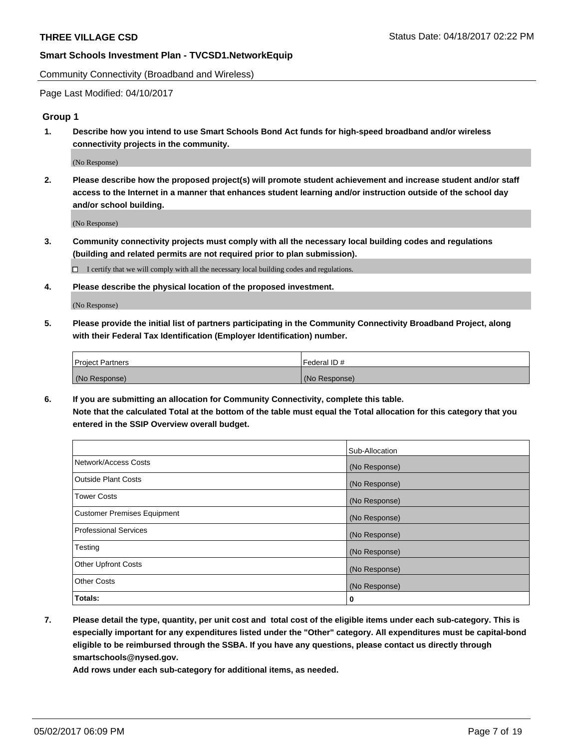Community Connectivity (Broadband and Wireless)

Page Last Modified: 04/10/2017

### **Group 1**

**1. Describe how you intend to use Smart Schools Bond Act funds for high-speed broadband and/or wireless connectivity projects in the community.**

(No Response)

**2. Please describe how the proposed project(s) will promote student achievement and increase student and/or staff access to the Internet in a manner that enhances student learning and/or instruction outside of the school day and/or school building.**

(No Response)

**3. Community connectivity projects must comply with all the necessary local building codes and regulations (building and related permits are not required prior to plan submission).**

 $\Box$  I certify that we will comply with all the necessary local building codes and regulations.

**4. Please describe the physical location of the proposed investment.**

(No Response)

**5. Please provide the initial list of partners participating in the Community Connectivity Broadband Project, along with their Federal Tax Identification (Employer Identification) number.**

| <b>Project Partners</b> | Federal ID#     |
|-------------------------|-----------------|
| (No Response)           | l (No Response) |

**6. If you are submitting an allocation for Community Connectivity, complete this table. Note that the calculated Total at the bottom of the table must equal the Total allocation for this category that you entered in the SSIP Overview overall budget.**

|                                    | Sub-Allocation |
|------------------------------------|----------------|
| Network/Access Costs               | (No Response)  |
| Outside Plant Costs                | (No Response)  |
| <b>Tower Costs</b>                 | (No Response)  |
| <b>Customer Premises Equipment</b> | (No Response)  |
| <b>Professional Services</b>       | (No Response)  |
| Testing                            | (No Response)  |
| <b>Other Upfront Costs</b>         | (No Response)  |
| <b>Other Costs</b>                 | (No Response)  |
| Totals:                            | 0              |

**7. Please detail the type, quantity, per unit cost and total cost of the eligible items under each sub-category. This is especially important for any expenditures listed under the "Other" category. All expenditures must be capital-bond eligible to be reimbursed through the SSBA. If you have any questions, please contact us directly through smartschools@nysed.gov.**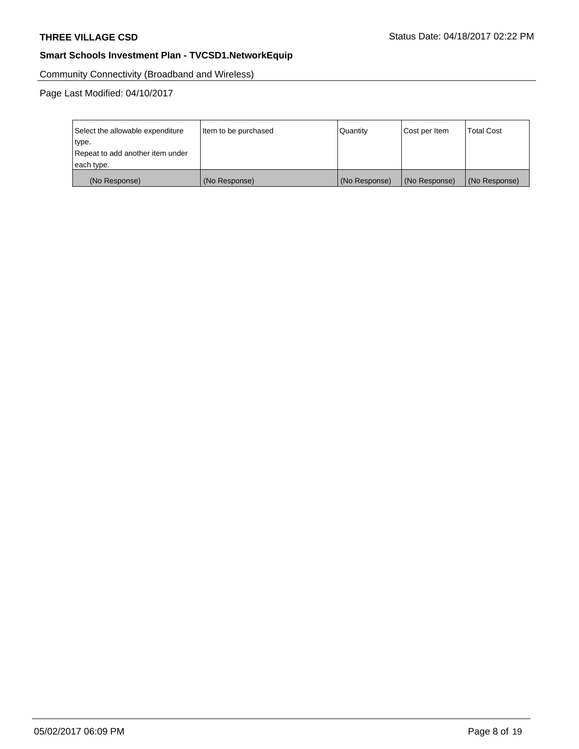Community Connectivity (Broadband and Wireless)

| Select the allowable expenditure<br>type.<br>Repeat to add another item under | Item to be purchased | Quantity      | Cost per Item | <b>Total Cost</b> |
|-------------------------------------------------------------------------------|----------------------|---------------|---------------|-------------------|
| each type.                                                                    |                      |               |               |                   |
| (No Response)                                                                 | (No Response)        | (No Response) | (No Response) | (No Response)     |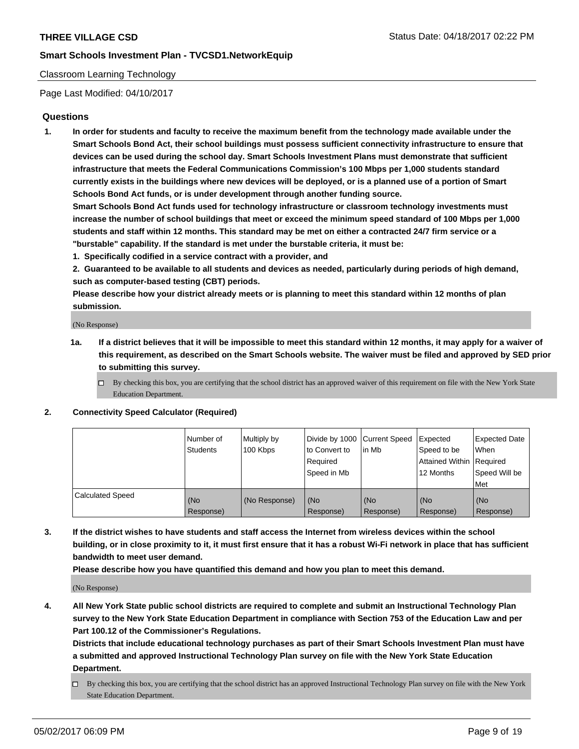### Classroom Learning Technology

Page Last Modified: 04/10/2017

### **Questions**

**1. In order for students and faculty to receive the maximum benefit from the technology made available under the Smart Schools Bond Act, their school buildings must possess sufficient connectivity infrastructure to ensure that devices can be used during the school day. Smart Schools Investment Plans must demonstrate that sufficient infrastructure that meets the Federal Communications Commission's 100 Mbps per 1,000 students standard currently exists in the buildings where new devices will be deployed, or is a planned use of a portion of Smart Schools Bond Act funds, or is under development through another funding source.**

**Smart Schools Bond Act funds used for technology infrastructure or classroom technology investments must increase the number of school buildings that meet or exceed the minimum speed standard of 100 Mbps per 1,000 students and staff within 12 months. This standard may be met on either a contracted 24/7 firm service or a "burstable" capability. If the standard is met under the burstable criteria, it must be:**

- **1. Specifically codified in a service contract with a provider, and**
- **2. Guaranteed to be available to all students and devices as needed, particularly during periods of high demand, such as computer-based testing (CBT) periods.**

**Please describe how your district already meets or is planning to meet this standard within 12 months of plan submission.**

(No Response)

- **1a. If a district believes that it will be impossible to meet this standard within 12 months, it may apply for a waiver of this requirement, as described on the Smart Schools website. The waiver must be filed and approved by SED prior to submitting this survey.**
	- $\Box$  By checking this box, you are certifying that the school district has an approved waiver of this requirement on file with the New York State Education Department.

#### **2. Connectivity Speed Calculator (Required)**

|                         | l Number of<br>Students | Multiply by<br>100 Kbps | Divide by 1000   Current Speed<br>to Convert to<br>Required<br>Speed in Mb | lin Mb           | Expected<br>Speed to be<br>Attained Within Required<br>12 Months | <b>Expected Date</b><br>When<br>Speed Will be<br>Met |
|-------------------------|-------------------------|-------------------------|----------------------------------------------------------------------------|------------------|------------------------------------------------------------------|------------------------------------------------------|
| <b>Calculated Speed</b> | (No<br>Response)        | (No Response)           | (No<br>Response)                                                           | (No<br>Response) | (No<br>Response)                                                 | (No<br>Response)                                     |

**3. If the district wishes to have students and staff access the Internet from wireless devices within the school building, or in close proximity to it, it must first ensure that it has a robust Wi-Fi network in place that has sufficient bandwidth to meet user demand.**

**Please describe how you have quantified this demand and how you plan to meet this demand.**

(No Response)

**4. All New York State public school districts are required to complete and submit an Instructional Technology Plan survey to the New York State Education Department in compliance with Section 753 of the Education Law and per Part 100.12 of the Commissioner's Regulations.**

**Districts that include educational technology purchases as part of their Smart Schools Investment Plan must have a submitted and approved Instructional Technology Plan survey on file with the New York State Education Department.**

 $\Box$  By checking this box, you are certifying that the school district has an approved Instructional Technology Plan survey on file with the New York State Education Department.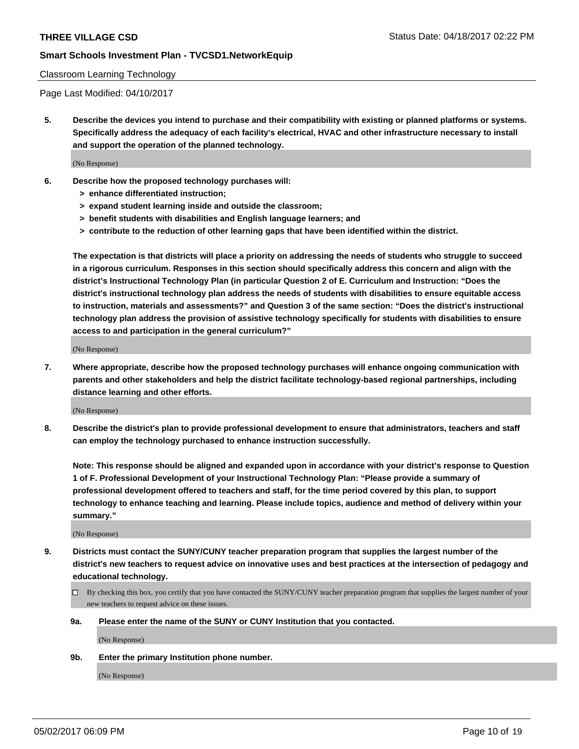#### Classroom Learning Technology

Page Last Modified: 04/10/2017

**5. Describe the devices you intend to purchase and their compatibility with existing or planned platforms or systems. Specifically address the adequacy of each facility's electrical, HVAC and other infrastructure necessary to install and support the operation of the planned technology.**

(No Response)

- **6. Describe how the proposed technology purchases will:**
	- **> enhance differentiated instruction;**
	- **> expand student learning inside and outside the classroom;**
	- **> benefit students with disabilities and English language learners; and**
	- **> contribute to the reduction of other learning gaps that have been identified within the district.**

**The expectation is that districts will place a priority on addressing the needs of students who struggle to succeed in a rigorous curriculum. Responses in this section should specifically address this concern and align with the district's Instructional Technology Plan (in particular Question 2 of E. Curriculum and Instruction: "Does the district's instructional technology plan address the needs of students with disabilities to ensure equitable access to instruction, materials and assessments?" and Question 3 of the same section: "Does the district's instructional technology plan address the provision of assistive technology specifically for students with disabilities to ensure access to and participation in the general curriculum?"**

(No Response)

**7. Where appropriate, describe how the proposed technology purchases will enhance ongoing communication with parents and other stakeholders and help the district facilitate technology-based regional partnerships, including distance learning and other efforts.**

(No Response)

**8. Describe the district's plan to provide professional development to ensure that administrators, teachers and staff can employ the technology purchased to enhance instruction successfully.**

**Note: This response should be aligned and expanded upon in accordance with your district's response to Question 1 of F. Professional Development of your Instructional Technology Plan: "Please provide a summary of professional development offered to teachers and staff, for the time period covered by this plan, to support technology to enhance teaching and learning. Please include topics, audience and method of delivery within your summary."**

(No Response)

- **9. Districts must contact the SUNY/CUNY teacher preparation program that supplies the largest number of the district's new teachers to request advice on innovative uses and best practices at the intersection of pedagogy and educational technology.**
	- By checking this box, you certify that you have contacted the SUNY/CUNY teacher preparation program that supplies the largest number of your new teachers to request advice on these issues.
	- **9a. Please enter the name of the SUNY or CUNY Institution that you contacted.**

(No Response)

**9b. Enter the primary Institution phone number.**

(No Response)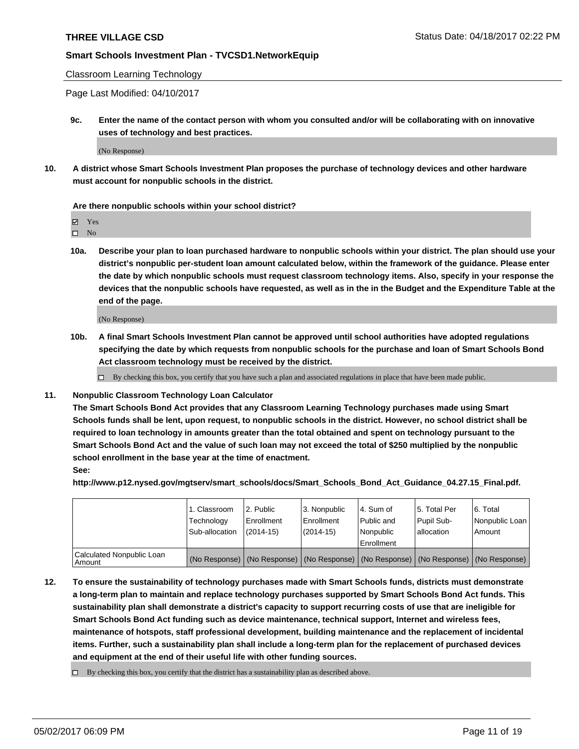Classroom Learning Technology

Page Last Modified: 04/10/2017

**9c. Enter the name of the contact person with whom you consulted and/or will be collaborating with on innovative uses of technology and best practices.**

(No Response)

**10. A district whose Smart Schools Investment Plan proposes the purchase of technology devices and other hardware must account for nonpublic schools in the district.**

**Are there nonpublic schools within your school district?**

Yes

 $\square$  No

**10a. Describe your plan to loan purchased hardware to nonpublic schools within your district. The plan should use your district's nonpublic per-student loan amount calculated below, within the framework of the guidance. Please enter the date by which nonpublic schools must request classroom technology items. Also, specify in your response the devices that the nonpublic schools have requested, as well as in the in the Budget and the Expenditure Table at the end of the page.**

(No Response)

**10b. A final Smart Schools Investment Plan cannot be approved until school authorities have adopted regulations specifying the date by which requests from nonpublic schools for the purchase and loan of Smart Schools Bond Act classroom technology must be received by the district.**

 $\Box$  By checking this box, you certify that you have such a plan and associated regulations in place that have been made public.

**11. Nonpublic Classroom Technology Loan Calculator**

**The Smart Schools Bond Act provides that any Classroom Learning Technology purchases made using Smart Schools funds shall be lent, upon request, to nonpublic schools in the district. However, no school district shall be required to loan technology in amounts greater than the total obtained and spent on technology pursuant to the Smart Schools Bond Act and the value of such loan may not exceed the total of \$250 multiplied by the nonpublic school enrollment in the base year at the time of enactment. See:**

**http://www.p12.nysed.gov/mgtserv/smart\_schools/docs/Smart\_Schools\_Bond\_Act\_Guidance\_04.27.15\_Final.pdf.**

|                                       | 1. Classroom<br>Technology<br>Sub-allocation | l 2. Public<br>l Enrollment<br>$(2014 - 15)$ | 3. Nonpublic<br>Enrollment<br>$(2014-15)$ | l 4. Sum of<br>Public and<br>Nonpublic<br>Enrollment | 15. Total Per<br>Pupil Sub-<br>allocation | l 6. Total<br>Nonpublic Loan<br>l Amount                                                      |
|---------------------------------------|----------------------------------------------|----------------------------------------------|-------------------------------------------|------------------------------------------------------|-------------------------------------------|-----------------------------------------------------------------------------------------------|
| Calculated Nonpublic Loan<br>l Amount |                                              |                                              |                                           |                                                      |                                           | (No Response)   (No Response)   (No Response)   (No Response)   (No Response)   (No Response) |

**12. To ensure the sustainability of technology purchases made with Smart Schools funds, districts must demonstrate a long-term plan to maintain and replace technology purchases supported by Smart Schools Bond Act funds. This sustainability plan shall demonstrate a district's capacity to support recurring costs of use that are ineligible for Smart Schools Bond Act funding such as device maintenance, technical support, Internet and wireless fees, maintenance of hotspots, staff professional development, building maintenance and the replacement of incidental items. Further, such a sustainability plan shall include a long-term plan for the replacement of purchased devices and equipment at the end of their useful life with other funding sources.**

 $\Box$  By checking this box, you certify that the district has a sustainability plan as described above.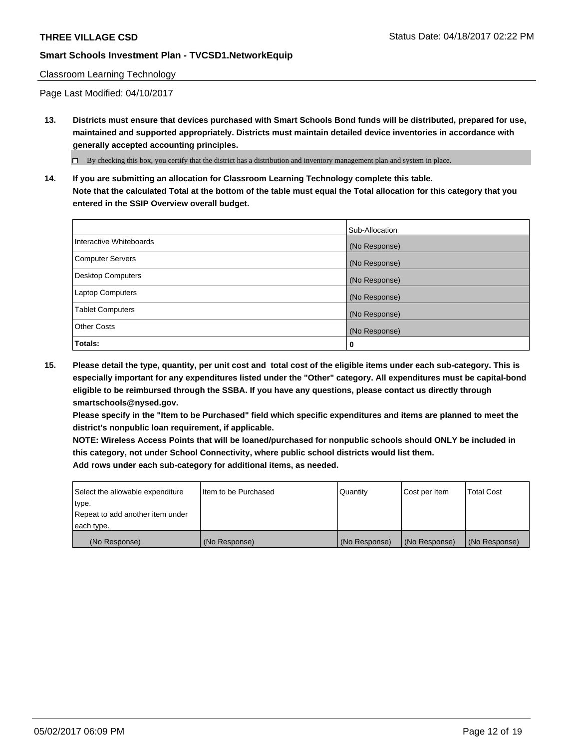#### Classroom Learning Technology

Page Last Modified: 04/10/2017

**13. Districts must ensure that devices purchased with Smart Schools Bond funds will be distributed, prepared for use, maintained and supported appropriately. Districts must maintain detailed device inventories in accordance with generally accepted accounting principles.**

By checking this box, you certify that the district has a distribution and inventory management plan and system in place.

**14. If you are submitting an allocation for Classroom Learning Technology complete this table. Note that the calculated Total at the bottom of the table must equal the Total allocation for this category that you entered in the SSIP Overview overall budget.**

|                          | Sub-Allocation |
|--------------------------|----------------|
| Interactive Whiteboards  | (No Response)  |
| <b>Computer Servers</b>  | (No Response)  |
| <b>Desktop Computers</b> | (No Response)  |
| <b>Laptop Computers</b>  | (No Response)  |
| <b>Tablet Computers</b>  | (No Response)  |
| <b>Other Costs</b>       | (No Response)  |
| Totals:                  | 0              |

**15. Please detail the type, quantity, per unit cost and total cost of the eligible items under each sub-category. This is especially important for any expenditures listed under the "Other" category. All expenditures must be capital-bond eligible to be reimbursed through the SSBA. If you have any questions, please contact us directly through smartschools@nysed.gov.**

**Please specify in the "Item to be Purchased" field which specific expenditures and items are planned to meet the district's nonpublic loan requirement, if applicable.**

**NOTE: Wireless Access Points that will be loaned/purchased for nonpublic schools should ONLY be included in this category, not under School Connectivity, where public school districts would list them. Add rows under each sub-category for additional items, as needed.**

| Select the allowable expenditure | I Item to be Purchased | Quantity      | Cost per Item | <b>Total Cost</b> |
|----------------------------------|------------------------|---------------|---------------|-------------------|
| type.                            |                        |               |               |                   |
| Repeat to add another item under |                        |               |               |                   |
| each type.                       |                        |               |               |                   |
| (No Response)                    | (No Response)          | (No Response) | (No Response) | (No Response)     |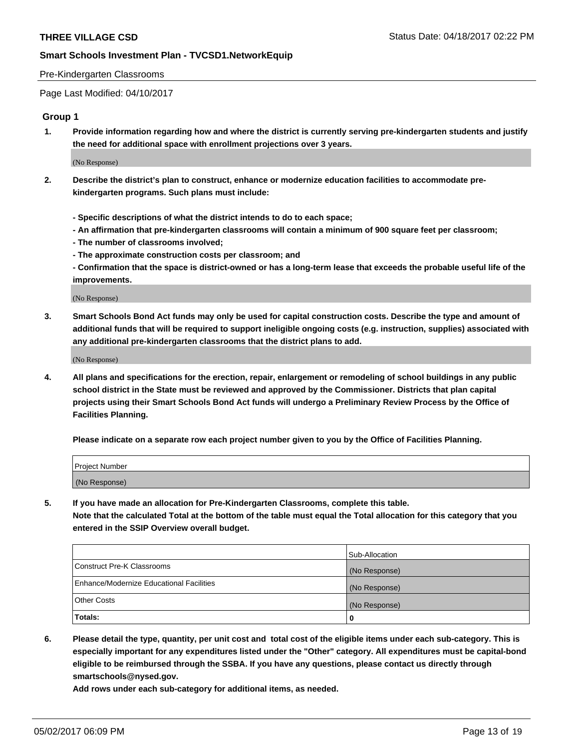#### Pre-Kindergarten Classrooms

Page Last Modified: 04/10/2017

#### **Group 1**

**1. Provide information regarding how and where the district is currently serving pre-kindergarten students and justify the need for additional space with enrollment projections over 3 years.**

(No Response)

- **2. Describe the district's plan to construct, enhance or modernize education facilities to accommodate prekindergarten programs. Such plans must include:**
	- **Specific descriptions of what the district intends to do to each space;**
	- **An affirmation that pre-kindergarten classrooms will contain a minimum of 900 square feet per classroom;**
	- **The number of classrooms involved;**
	- **The approximate construction costs per classroom; and**
	- **Confirmation that the space is district-owned or has a long-term lease that exceeds the probable useful life of the improvements.**

(No Response)

**3. Smart Schools Bond Act funds may only be used for capital construction costs. Describe the type and amount of additional funds that will be required to support ineligible ongoing costs (e.g. instruction, supplies) associated with any additional pre-kindergarten classrooms that the district plans to add.**

(No Response)

**4. All plans and specifications for the erection, repair, enlargement or remodeling of school buildings in any public school district in the State must be reviewed and approved by the Commissioner. Districts that plan capital projects using their Smart Schools Bond Act funds will undergo a Preliminary Review Process by the Office of Facilities Planning.**

**Please indicate on a separate row each project number given to you by the Office of Facilities Planning.**

| Project Number |  |
|----------------|--|
| (No Response)  |  |

**5. If you have made an allocation for Pre-Kindergarten Classrooms, complete this table. Note that the calculated Total at the bottom of the table must equal the Total allocation for this category that you entered in the SSIP Overview overall budget.**

| Totals:                                  | 0              |
|------------------------------------------|----------------|
| Other Costs                              | (No Response)  |
| Enhance/Modernize Educational Facilities | (No Response)  |
| Construct Pre-K Classrooms               | (No Response)  |
|                                          | Sub-Allocation |

**6. Please detail the type, quantity, per unit cost and total cost of the eligible items under each sub-category. This is especially important for any expenditures listed under the "Other" category. All expenditures must be capital-bond eligible to be reimbursed through the SSBA. If you have any questions, please contact us directly through smartschools@nysed.gov.**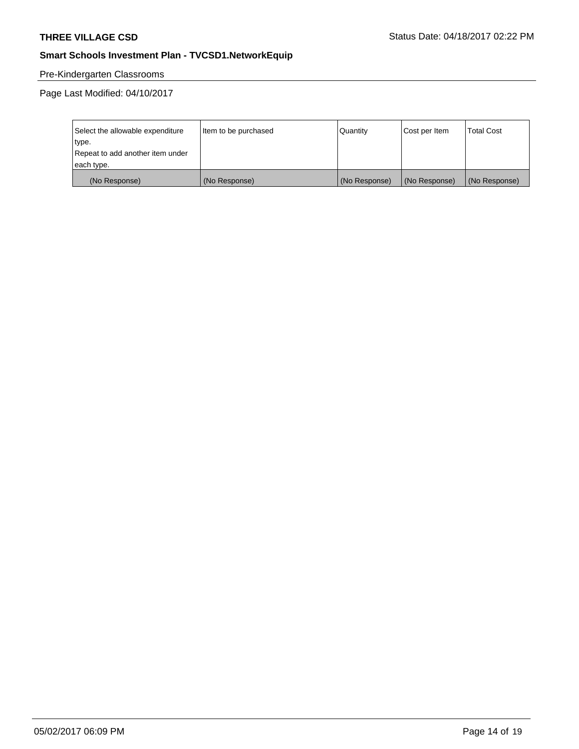# Pre-Kindergarten Classrooms

| Select the allowable expenditure | Item to be purchased | Quantity      | Cost per Item | <b>Total Cost</b> |
|----------------------------------|----------------------|---------------|---------------|-------------------|
| type.                            |                      |               |               |                   |
| Repeat to add another item under |                      |               |               |                   |
| each type.                       |                      |               |               |                   |
| (No Response)                    | (No Response)        | (No Response) | (No Response) | (No Response)     |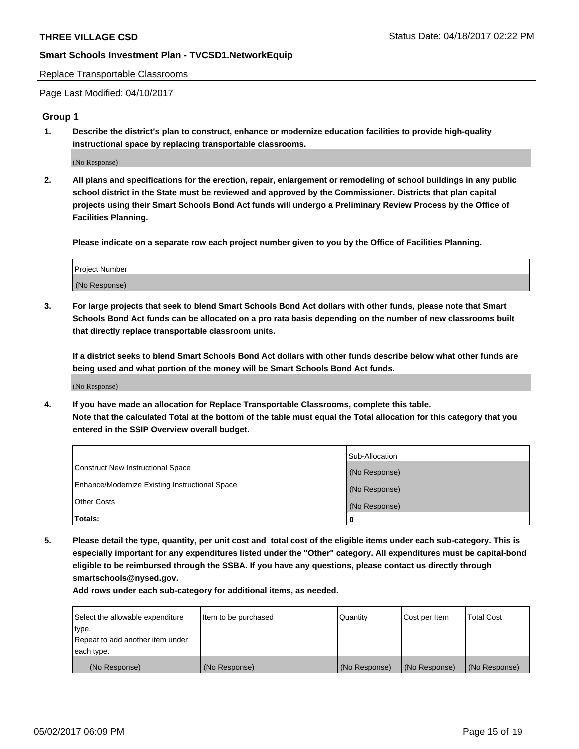Replace Transportable Classrooms

Page Last Modified: 04/10/2017

#### **Group 1**

**1. Describe the district's plan to construct, enhance or modernize education facilities to provide high-quality instructional space by replacing transportable classrooms.**

(No Response)

**2. All plans and specifications for the erection, repair, enlargement or remodeling of school buildings in any public school district in the State must be reviewed and approved by the Commissioner. Districts that plan capital projects using their Smart Schools Bond Act funds will undergo a Preliminary Review Process by the Office of Facilities Planning.**

**Please indicate on a separate row each project number given to you by the Office of Facilities Planning.**

| Project Number |  |
|----------------|--|
| (No Response)  |  |

**3. For large projects that seek to blend Smart Schools Bond Act dollars with other funds, please note that Smart Schools Bond Act funds can be allocated on a pro rata basis depending on the number of new classrooms built that directly replace transportable classroom units.**

**If a district seeks to blend Smart Schools Bond Act dollars with other funds describe below what other funds are being used and what portion of the money will be Smart Schools Bond Act funds.**

(No Response)

**4. If you have made an allocation for Replace Transportable Classrooms, complete this table. Note that the calculated Total at the bottom of the table must equal the Total allocation for this category that you entered in the SSIP Overview overall budget.**

|                                                | Sub-Allocation |
|------------------------------------------------|----------------|
| Construct New Instructional Space              | (No Response)  |
| Enhance/Modernize Existing Instructional Space | (No Response)  |
| Other Costs                                    | (No Response)  |
| Totals:                                        | 0              |

**5. Please detail the type, quantity, per unit cost and total cost of the eligible items under each sub-category. This is especially important for any expenditures listed under the "Other" category. All expenditures must be capital-bond eligible to be reimbursed through the SSBA. If you have any questions, please contact us directly through smartschools@nysed.gov.**

| Select the allowable expenditure | Item to be purchased | Quantity      | Cost per Item | <b>Total Cost</b> |
|----------------------------------|----------------------|---------------|---------------|-------------------|
| type.                            |                      |               |               |                   |
| Repeat to add another item under |                      |               |               |                   |
| each type.                       |                      |               |               |                   |
| (No Response)                    | (No Response)        | (No Response) | (No Response) | (No Response)     |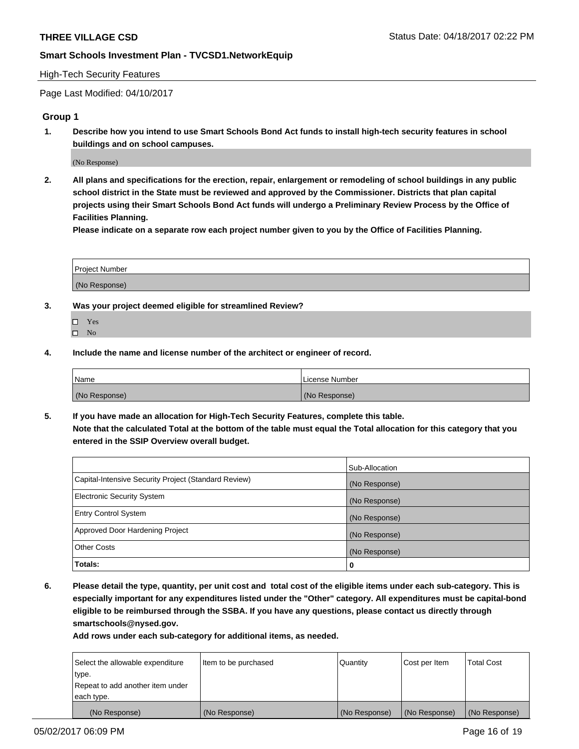### High-Tech Security Features

Page Last Modified: 04/10/2017

## **Group 1**

**1. Describe how you intend to use Smart Schools Bond Act funds to install high-tech security features in school buildings and on school campuses.**

(No Response)

**2. All plans and specifications for the erection, repair, enlargement or remodeling of school buildings in any public school district in the State must be reviewed and approved by the Commissioner. Districts that plan capital projects using their Smart Schools Bond Act funds will undergo a Preliminary Review Process by the Office of Facilities Planning.** 

**Please indicate on a separate row each project number given to you by the Office of Facilities Planning.**

| Project Number |  |
|----------------|--|
|                |  |
| (No Response)  |  |

- **3. Was your project deemed eligible for streamlined Review?**
	- Yes  $\hfill \square$  No
- **4. Include the name and license number of the architect or engineer of record.**

| Name          | License Number |
|---------------|----------------|
| (No Response) | (No Response)  |

**5. If you have made an allocation for High-Tech Security Features, complete this table. Note that the calculated Total at the bottom of the table must equal the Total allocation for this category that you entered in the SSIP Overview overall budget.**

|                                                      | Sub-Allocation |
|------------------------------------------------------|----------------|
| Capital-Intensive Security Project (Standard Review) | (No Response)  |
| <b>Electronic Security System</b>                    | (No Response)  |
| <b>Entry Control System</b>                          | (No Response)  |
| Approved Door Hardening Project                      | (No Response)  |
| <b>Other Costs</b>                                   | (No Response)  |
| Totals:                                              | 0              |

**6. Please detail the type, quantity, per unit cost and total cost of the eligible items under each sub-category. This is especially important for any expenditures listed under the "Other" category. All expenditures must be capital-bond eligible to be reimbursed through the SSBA. If you have any questions, please contact us directly through smartschools@nysed.gov.**

| (No Response)                    | (No Response)        | (No Response) | (No Response) | (No Response)     |
|----------------------------------|----------------------|---------------|---------------|-------------------|
| each type.                       |                      |               |               |                   |
| Repeat to add another item under |                      |               |               |                   |
| type.                            |                      |               |               |                   |
| Select the allowable expenditure | Item to be purchased | Quantity      | Cost per Item | <b>Total Cost</b> |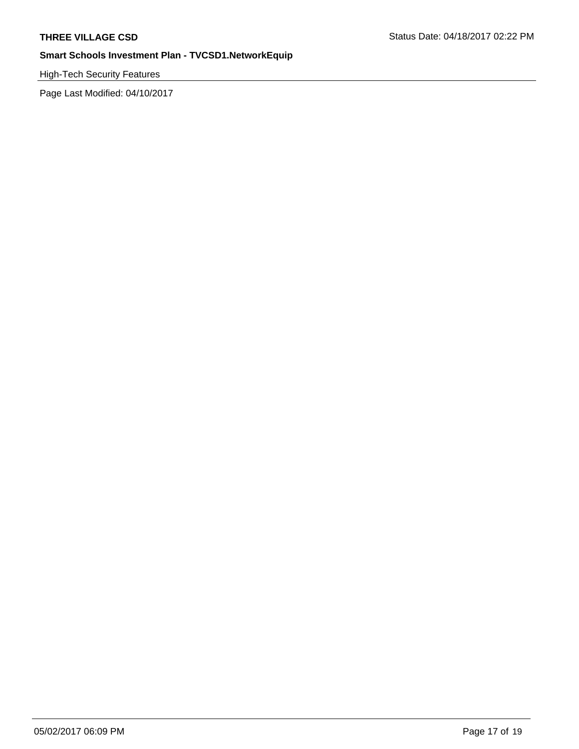High-Tech Security Features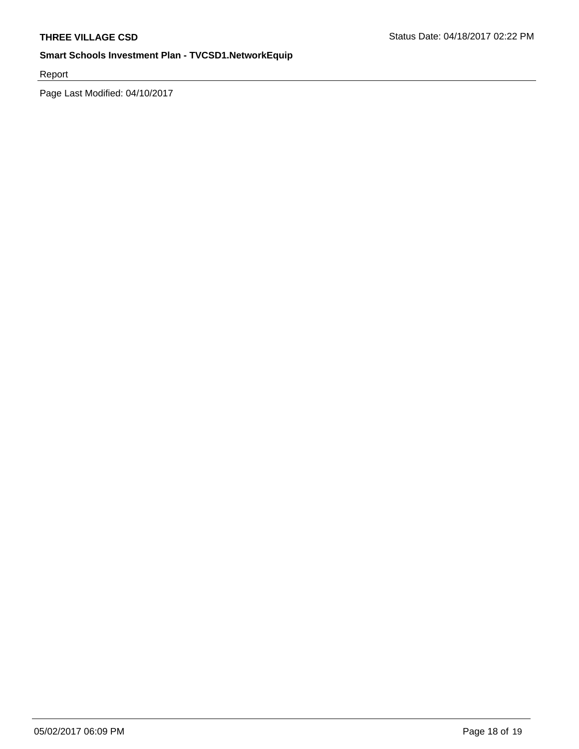Report